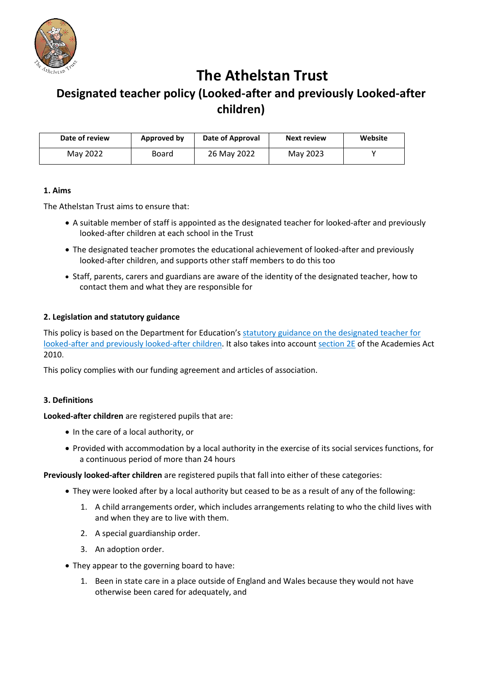

# **The Athelstan Trust**

# **Designated teacher policy (Looked-after and previously Looked-after children)**

| Date of review | Approved by | Date of Approval | <b>Next review</b> | Website |
|----------------|-------------|------------------|--------------------|---------|
| May 2022       | Board       | 26 May 2022      | May 2023           |         |

#### **1. Aims**

The Athelstan Trust aims to ensure that:

- A suitable member of staff is appointed as the designated teacher for looked-after and previously looked-after children at each school in the Trust
- The designated teacher promotes the educational achievement of looked-after and previously looked-after children, and supports other staff members to do this too
- Staff, parents, carers and guardians are aware of the identity of the designated teacher, how to contact them and what they are responsible for

## **2. Legislation and statutory guidance**

This policy is based on the Department for Education's [statutory guidance on the designated teacher for](https://www.gov.uk/government/publications/designated-teacher-for-looked-after-children)  [looked-after and previously looked-after children.](https://www.gov.uk/government/publications/designated-teacher-for-looked-after-children) It also takes into account [section 2E](http://www.legislation.gov.uk/ukpga/2010/32/section/2E) of the Academies Act 2010.

This policy complies with our funding agreement and articles of association.

## **3. Definitions**

**Looked-after children** are registered pupils that are:

- In the care of a local authority, or
- Provided with accommodation by a local authority in the exercise of its social services functions, for a continuous period of more than 24 hours

**Previously looked-after children** are registered pupils that fall into either of these categories:

- They were looked after by a local authority but ceased to be as a result of any of the following:
	- 1. A child arrangements order, which includes arrangements relating to who the child lives with and when they are to live with them.
	- 2. A special guardianship order.
	- 3. An adoption order.
- They appear to the governing board to have:
	- 1. Been in state care in a place outside of England and Wales because they would not have otherwise been cared for adequately, and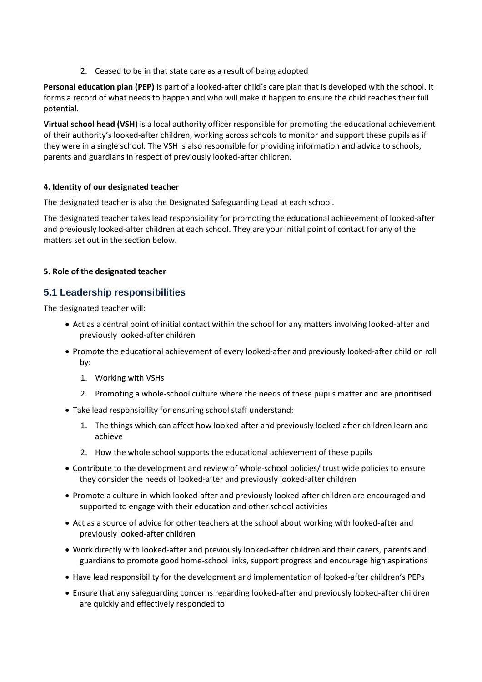2. Ceased to be in that state care as a result of being adopted

**Personal education plan (PEP)** is part of a looked-after child's care plan that is developed with the school. It forms a record of what needs to happen and who will make it happen to ensure the child reaches their full potential.

**Virtual school head (VSH)** is a local authority officer responsible for promoting the educational achievement of their authority's looked-after children, working across schools to monitor and support these pupils as if they were in a single school. The VSH is also responsible for providing information and advice to schools, parents and guardians in respect of previously looked-after children.

#### **4. Identity of our designated teacher**

The designated teacher is also the Designated Safeguarding Lead at each school.

The designated teacher takes lead responsibility for promoting the educational achievement of looked-after and previously looked-after children at each school. They are your initial point of contact for any of the matters set out in the section below.

#### **5. Role of the designated teacher**

# **5.1 Leadership responsibilities**

The designated teacher will:

- Act as a central point of initial contact within the school for any matters involving looked-after and previously looked-after children
- Promote the educational achievement of every looked-after and previously looked-after child on roll by:
	- 1. Working with VSHs
	- 2. Promoting a whole-school culture where the needs of these pupils matter and are prioritised
- Take lead responsibility for ensuring school staff understand:
	- 1. The things which can affect how looked-after and previously looked-after children learn and achieve
	- 2. How the whole school supports the educational achievement of these pupils
- Contribute to the development and review of whole-school policies/ trust wide policies to ensure they consider the needs of looked-after and previously looked-after children
- Promote a culture in which looked-after and previously looked-after children are encouraged and supported to engage with their education and other school activities
- Act as a source of advice for other teachers at the school about working with looked-after and previously looked-after children
- Work directly with looked-after and previously looked-after children and their carers, parents and guardians to promote good home-school links, support progress and encourage high aspirations
- Have lead responsibility for the development and implementation of looked-after children's PEPs
- Ensure that any safeguarding concerns regarding looked-after and previously looked-after children are quickly and effectively responded to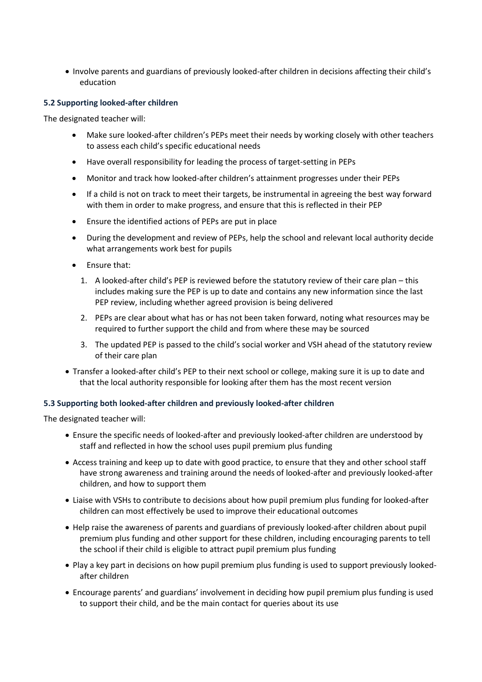• Involve parents and guardians of previously looked-after children in decisions affecting their child's education

#### **5.2 Supporting looked-after children**

The designated teacher will:

- Make sure looked-after children's PEPs meet their needs by working closely with other teachers to assess each child's specific educational needs
- Have overall responsibility for leading the process of target-setting in PEPs
- Monitor and track how looked-after children's attainment progresses under their PEPs
- If a child is not on track to meet their targets, be instrumental in agreeing the best way forward with them in order to make progress, and ensure that this is reflected in their PEP
- Ensure the identified actions of PEPs are put in place
- During the development and review of PEPs, help the school and relevant local authority decide what arrangements work best for pupils
- Ensure that:
	- 1. A looked-after child's PEP is reviewed before the statutory review of their care plan this includes making sure the PEP is up to date and contains any new information since the last PEP review, including whether agreed provision is being delivered
	- 2. PEPs are clear about what has or has not been taken forward, noting what resources may be required to further support the child and from where these may be sourced
	- 3. The updated PEP is passed to the child's social worker and VSH ahead of the statutory review of their care plan
- Transfer a looked-after child's PEP to their next school or college, making sure it is up to date and that the local authority responsible for looking after them has the most recent version

#### **5.3 Supporting both looked-after children and previously looked-after children**

The designated teacher will:

- Ensure the specific needs of looked-after and previously looked-after children are understood by staff and reflected in how the school uses pupil premium plus funding
- Access training and keep up to date with good practice, to ensure that they and other school staff have strong awareness and training around the needs of looked-after and previously looked-after children, and how to support them
- Liaise with VSHs to contribute to decisions about how pupil premium plus funding for looked-after children can most effectively be used to improve their educational outcomes
- Help raise the awareness of parents and guardians of previously looked-after children about pupil premium plus funding and other support for these children, including encouraging parents to tell the school if their child is eligible to attract pupil premium plus funding
- Play a key part in decisions on how pupil premium plus funding is used to support previously lookedafter children
- Encourage parents' and guardians' involvement in deciding how pupil premium plus funding is used to support their child, and be the main contact for queries about its use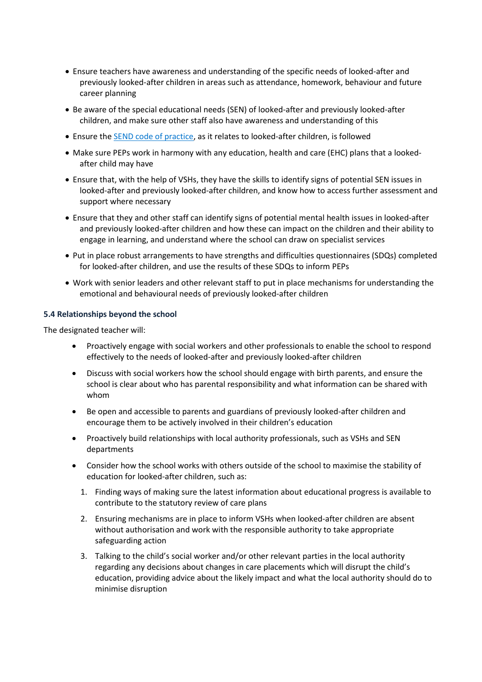- Ensure teachers have awareness and understanding of the specific needs of looked-after and previously looked-after children in areas such as attendance, homework, behaviour and future career planning
- Be aware of the special educational needs (SEN) of looked-after and previously looked-after children, and make sure other staff also have awareness and understanding of this
- Ensure the [SEND code of practice,](https://www.gov.uk/government/publications/send-code-of-practice-0-to-25) as it relates to looked-after children, is followed
- Make sure PEPs work in harmony with any education, health and care (EHC) plans that a lookedafter child may have
- Ensure that, with the help of VSHs, they have the skills to identify signs of potential SEN issues in looked-after and previously looked-after children, and know how to access further assessment and support where necessary
- Ensure that they and other staff can identify signs of potential mental health issues in looked-after and previously looked-after children and how these can impact on the children and their ability to engage in learning, and understand where the school can draw on specialist services
- Put in place robust arrangements to have strengths and difficulties questionnaires (SDQs) completed for looked-after children, and use the results of these SDQs to inform PEPs
- Work with senior leaders and other relevant staff to put in place mechanisms for understanding the emotional and behavioural needs of previously looked-after children

#### **5.4 Relationships beyond the school**

The designated teacher will:

- Proactively engage with social workers and other professionals to enable the school to respond effectively to the needs of looked-after and previously looked-after children
- Discuss with social workers how the school should engage with birth parents, and ensure the school is clear about who has parental responsibility and what information can be shared with whom
- Be open and accessible to parents and guardians of previously looked-after children and encourage them to be actively involved in their children's education
- Proactively build relationships with local authority professionals, such as VSHs and SEN departments
- Consider how the school works with others outside of the school to maximise the stability of education for looked-after children, such as:
	- 1. Finding ways of making sure the latest information about educational progress is available to contribute to the statutory review of care plans
	- 2. Ensuring mechanisms are in place to inform VSHs when looked-after children are absent without authorisation and work with the responsible authority to take appropriate safeguarding action
	- 3. Talking to the child's social worker and/or other relevant parties in the local authority regarding any decisions about changes in care placements which will disrupt the child's education, providing advice about the likely impact and what the local authority should do to minimise disruption